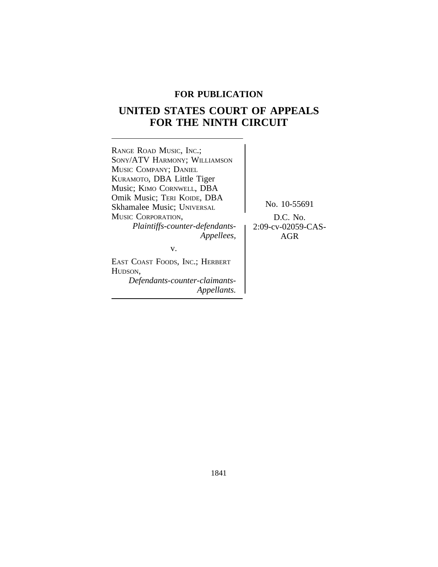## **FOR PUBLICATION**

# **UNITED STATES COURT OF APPEALS FOR THE NINTH CIRCUIT**

| RANGE ROAD MUSIC, INC.;<br>SONY/ATV HARMONY; WILLIAMSON<br>MUSIC COMPANY; DANIEL<br>KURAMOTO, DBA Little Tiger<br>Music; KIMO CORNWELL, DBA<br>Omik Music; TERI KOIDE, DBA<br><b>Skhamalee Music</b> ; UNIVERSAL<br>MUSIC CORPORATION.<br>Plaintiffs-counter-defendants-<br>Appellees, | No. 10-55691<br>$D.C.$ No.<br>2:09-cv-02059-CAS-<br>AGR |
|----------------------------------------------------------------------------------------------------------------------------------------------------------------------------------------------------------------------------------------------------------------------------------------|---------------------------------------------------------|
| v.<br>EAST COAST FOODS, INC.; HERBERT<br>HUDSON,                                                                                                                                                                                                                                       |                                                         |
| Defendants-counter-claimants-<br><i>Appellants.</i>                                                                                                                                                                                                                                    |                                                         |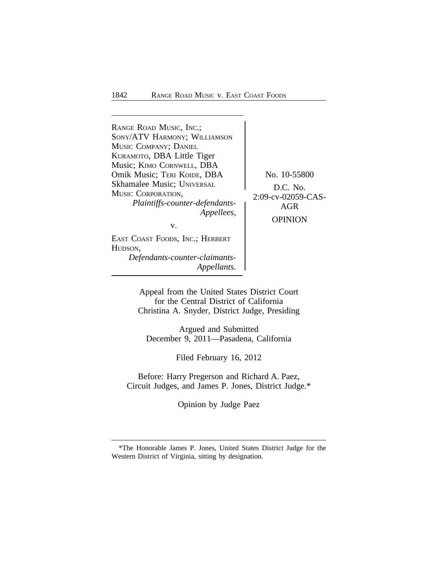| RANGE ROAD MUSIC, INC.;         |                    |
|---------------------------------|--------------------|
| SONY/ATV HARMONY; WILLIAMSON    |                    |
| MUSIC COMPANY; DANIEL           |                    |
| KURAMOTO, DBA Little Tiger      |                    |
| Music; KIMO CORNWELL, DBA       |                    |
| Omik Music; TERI KOIDE, DBA     | No. 10-55800       |
| Skhamalee Music; UNIVERSAL      | $D.C.$ No.         |
| MUSIC CORPORATION,              | 2:09-cv-02059-CAS- |
| Plaintiffs-counter-defendants-  | AGR                |
| Appellees,                      |                    |
| v.                              | <b>OPINION</b>     |
| EAST COAST FOODS, INC.; HERBERT |                    |
| HUDSON,                         |                    |
| Defendante counten claimante    |                    |

*Defendants-counter-claimants-Appellants.*

Appeal from the United States District Court for the Central District of California Christina A. Snyder, District Judge, Presiding

Argued and Submitted December 9, 2011—Pasadena, California

Filed February 16, 2012

Before: Harry Pregerson and Richard A. Paez, Circuit Judges, and James P. Jones, District Judge.\*

Opinion by Judge Paez

<sup>\*</sup>The Honorable James P. Jones, United States District Judge for the Western District of Virginia, sitting by designation.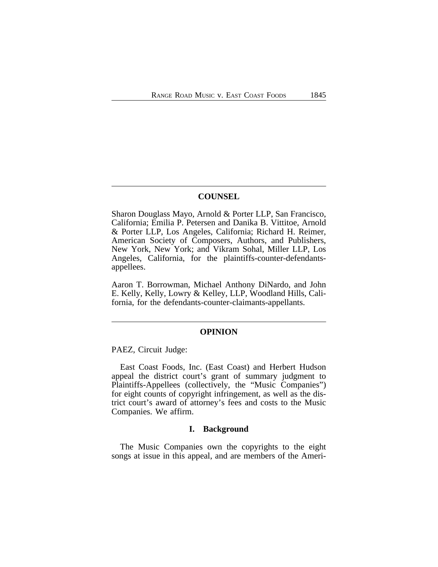## **COUNSEL**

Sharon Douglass Mayo, Arnold & Porter LLP, San Francisco, California; Emilia P. Petersen and Danika B. Vittitoe, Arnold & Porter LLP, Los Angeles, California; Richard H. Reimer, American Society of Composers, Authors, and Publishers, New York, New York; and Vikram Sohal, Miller LLP, Los Angeles, California, for the plaintiffs-counter-defendantsappellees.

Aaron T. Borrowman, Michael Anthony DiNardo, and John E. Kelly, Kelly, Lowry & Kelley, LLP, Woodland Hills, California, for the defendants-counter-claimants-appellants.

#### **OPINION**

PAEZ, Circuit Judge:

East Coast Foods, Inc. (East Coast) and Herbert Hudson appeal the district court's grant of summary judgment to Plaintiffs-Appellees (collectively, the "Music Companies") for eight counts of copyright infringement, as well as the district court's award of attorney's fees and costs to the Music Companies. We affirm.

#### **I. Background**

The Music Companies own the copyrights to the eight songs at issue in this appeal, and are members of the Ameri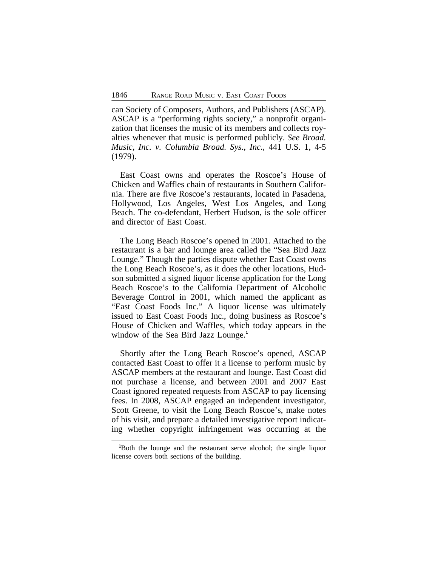can Society of Composers, Authors, and Publishers (ASCAP). ASCAP is a "performing rights society," a nonprofit organization that licenses the music of its members and collects royalties whenever that music is performed publicly. *See Broad. Music, Inc. v. Columbia Broad. Sys., Inc.*, 441 U.S. 1, 4-5 (1979).

East Coast owns and operates the Roscoe's House of Chicken and Waffles chain of restaurants in Southern California. There are five Roscoe's restaurants, located in Pasadena, Hollywood, Los Angeles, West Los Angeles, and Long Beach. The co-defendant, Herbert Hudson, is the sole officer and director of East Coast.

The Long Beach Roscoe's opened in 2001. Attached to the restaurant is a bar and lounge area called the "Sea Bird Jazz Lounge." Though the parties dispute whether East Coast owns the Long Beach Roscoe's, as it does the other locations, Hudson submitted a signed liquor license application for the Long Beach Roscoe's to the California Department of Alcoholic Beverage Control in 2001, which named the applicant as "East Coast Foods Inc." A liquor license was ultimately issued to East Coast Foods Inc., doing business as Roscoe's House of Chicken and Waffles, which today appears in the window of the Sea Bird Jazz Lounge.**<sup>1</sup>**

Shortly after the Long Beach Roscoe's opened, ASCAP contacted East Coast to offer it a license to perform music by ASCAP members at the restaurant and lounge. East Coast did not purchase a license, and between 2001 and 2007 East Coast ignored repeated requests from ASCAP to pay licensing fees. In 2008, ASCAP engaged an independent investigator, Scott Greene, to visit the Long Beach Roscoe's, make notes of his visit, and prepare a detailed investigative report indicating whether copyright infringement was occurring at the

**<sup>1</sup>**Both the lounge and the restaurant serve alcohol; the single liquor license covers both sections of the building.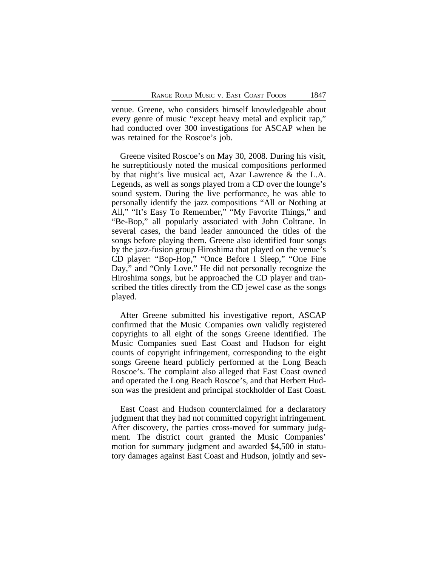venue. Greene, who considers himself knowledgeable about every genre of music "except heavy metal and explicit rap," had conducted over 300 investigations for ASCAP when he was retained for the Roscoe's job.

Greene visited Roscoe's on May 30, 2008. During his visit, he surreptitiously noted the musical compositions performed by that night's live musical act, Azar Lawrence & the L.A. Legends, as well as songs played from a CD over the lounge's sound system. During the live performance, he was able to personally identify the jazz compositions "All or Nothing at All," "It's Easy To Remember," "My Favorite Things," and "Be-Bop," all popularly associated with John Coltrane. In several cases, the band leader announced the titles of the songs before playing them. Greene also identified four songs by the jazz-fusion group Hiroshima that played on the venue's CD player: "Bop-Hop," "Once Before I Sleep," "One Fine Day," and "Only Love." He did not personally recognize the Hiroshima songs, but he approached the CD player and transcribed the titles directly from the CD jewel case as the songs played.

After Greene submitted his investigative report, ASCAP confirmed that the Music Companies own validly registered copyrights to all eight of the songs Greene identified. The Music Companies sued East Coast and Hudson for eight counts of copyright infringement, corresponding to the eight songs Greene heard publicly performed at the Long Beach Roscoe's. The complaint also alleged that East Coast owned and operated the Long Beach Roscoe's, and that Herbert Hudson was the president and principal stockholder of East Coast.

East Coast and Hudson counterclaimed for a declaratory judgment that they had not committed copyright infringement. After discovery, the parties cross-moved for summary judgment. The district court granted the Music Companies' motion for summary judgment and awarded \$4,500 in statutory damages against East Coast and Hudson, jointly and sev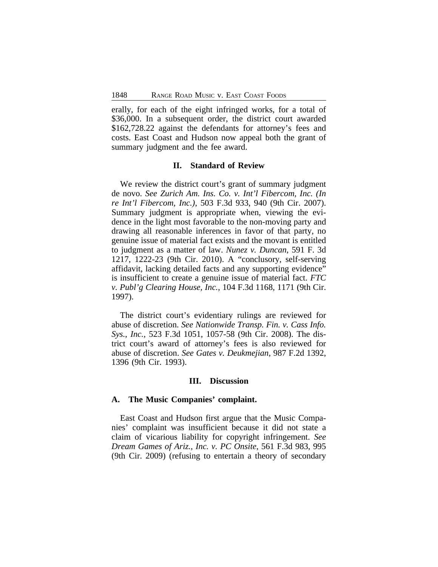erally, for each of the eight infringed works, for a total of \$36,000. In a subsequent order, the district court awarded \$162,728.22 against the defendants for attorney's fees and costs. East Coast and Hudson now appeal both the grant of summary judgment and the fee award.

#### **II. Standard of Review**

We review the district court's grant of summary judgment de novo. *See Zurich Am. Ins. Co. v. Int'l Fibercom, Inc. (In re Int'l Fibercom, Inc.)*, 503 F.3d 933, 940 (9th Cir. 2007). Summary judgment is appropriate when, viewing the evidence in the light most favorable to the non-moving party and drawing all reasonable inferences in favor of that party, no genuine issue of material fact exists and the movant is entitled to judgment as a matter of law. *Nunez v. Duncan*, 591 F. 3d 1217, 1222-23 (9th Cir. 2010). A "conclusory, self-serving affidavit, lacking detailed facts and any supporting evidence" is insufficient to create a genuine issue of material fact. *FTC v. Publ'g Clearing House, Inc.*, 104 F.3d 1168, 1171 (9th Cir. 1997).

The district court's evidentiary rulings are reviewed for abuse of discretion. *See Nationwide Transp. Fin. v. Cass Info. Sys., Inc.*, 523 F.3d 1051, 1057-58 (9th Cir. 2008). The district court's award of attorney's fees is also reviewed for abuse of discretion. *See Gates v. Deukmejian*, 987 F.2d 1392, 1396 (9th Cir. 1993).

#### **III. Discussion**

#### **A. The Music Companies' complaint.**

East Coast and Hudson first argue that the Music Companies' complaint was insufficient because it did not state a claim of vicarious liability for copyright infringement. *See Dream Games of Ariz., Inc. v. PC Onsite*, 561 F.3d 983, 995 (9th Cir. 2009) (refusing to entertain a theory of secondary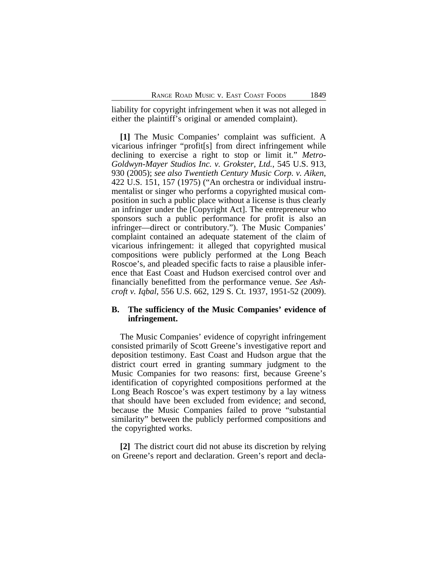liability for copyright infringement when it was not alleged in either the plaintiff's original or amended complaint).

**[1]** The Music Companies' complaint was sufficient. A vicarious infringer "profit[s] from direct infringement while declining to exercise a right to stop or limit it." *Metro-Goldwyn-Mayer Studios Inc. v. Grokster, Ltd.*, 545 U.S. 913, 930 (2005); *see also Twentieth Century Music Corp. v. Aiken*, 422 U.S. 151, 157 (1975) ("An orchestra or individual instrumentalist or singer who performs a copyrighted musical composition in such a public place without a license is thus clearly an infringer under the [Copyright Act]. The entrepreneur who sponsors such a public performance for profit is also an infringer—direct or contributory."). The Music Companies' complaint contained an adequate statement of the claim of vicarious infringement: it alleged that copyrighted musical compositions were publicly performed at the Long Beach Roscoe's, and pleaded specific facts to raise a plausible inference that East Coast and Hudson exercised control over and financially benefitted from the performance venue. *See Ashcroft v. Iqbal*, 556 U.S. 662, 129 S. Ct. 1937, 1951-52 (2009).

## **B. The sufficiency of the Music Companies' evidence of infringement.**

The Music Companies' evidence of copyright infringement consisted primarily of Scott Greene's investigative report and deposition testimony. East Coast and Hudson argue that the district court erred in granting summary judgment to the Music Companies for two reasons: first, because Greene's identification of copyrighted compositions performed at the Long Beach Roscoe's was expert testimony by a lay witness that should have been excluded from evidence; and second, because the Music Companies failed to prove "substantial similarity" between the publicly performed compositions and the copyrighted works.

**[2]** The district court did not abuse its discretion by relying on Greene's report and declaration. Green's report and decla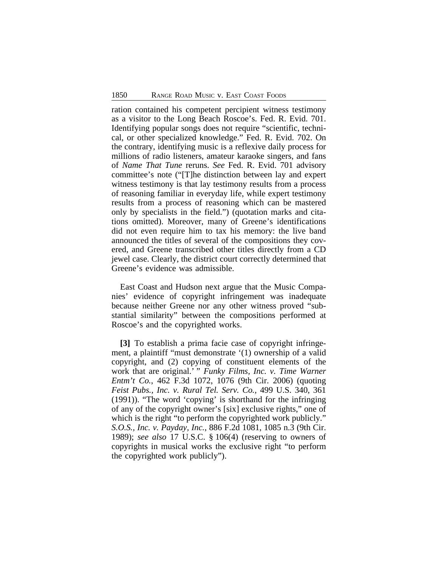ration contained his competent percipient witness testimony as a visitor to the Long Beach Roscoe's. Fed. R. Evid. 701. Identifying popular songs does not require "scientific, technical, or other specialized knowledge." Fed. R. Evid. 702. On the contrary, identifying music is a reflexive daily process for millions of radio listeners, amateur karaoke singers, and fans of *Name That Tune* reruns. *See* Fed. R. Evid. 701 advisory committee's note ("[T]he distinction between lay and expert witness testimony is that lay testimony results from a process of reasoning familiar in everyday life, while expert testimony results from a process of reasoning which can be mastered only by specialists in the field.") (quotation marks and citations omitted). Moreover, many of Greene's identifications did not even require him to tax his memory: the live band announced the titles of several of the compositions they covered, and Greene transcribed other titles directly from a CD jewel case. Clearly, the district court correctly determined that Greene's evidence was admissible.

East Coast and Hudson next argue that the Music Companies' evidence of copyright infringement was inadequate because neither Greene nor any other witness proved "substantial similarity" between the compositions performed at Roscoe's and the copyrighted works.

**[3]** To establish a prima facie case of copyright infringement, a plaintiff "must demonstrate '(1) ownership of a valid copyright, and (2) copying of constituent elements of the work that are original.' " *Funky Films, Inc. v. Time Warner Entm't Co.*, 462 F.3d 1072, 1076 (9th Cir. 2006) (quoting *Feist Pubs., Inc. v. Rural Tel. Serv. Co.*, 499 U.S. 340, 361 (1991)). "The word 'copying' is shorthand for the infringing of any of the copyright owner's [six] exclusive rights," one of which is the right "to perform the copyrighted work publicly." *S.O.S., Inc. v. Payday, Inc.*, 886 F.2d 1081, 1085 n.3 (9th Cir. 1989); *see also* 17 U.S.C. § 106(4) (reserving to owners of copyrights in musical works the exclusive right "to perform the copyrighted work publicly").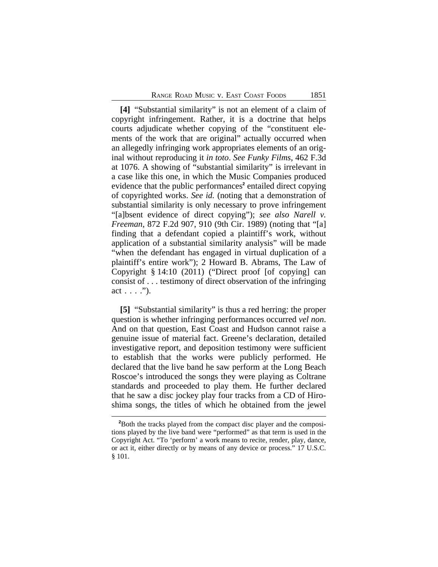**[4]** "Substantial similarity" is not an element of a claim of copyright infringement. Rather, it is a doctrine that helps courts adjudicate whether copying of the "constituent elements of the work that are original" actually occurred when an allegedly infringing work appropriates elements of an original without reproducing it *in toto*. *See Funky Films*, 462 F.3d at 1076. A showing of "substantial similarity" is irrelevant in a case like this one, in which the Music Companies produced evidence that the public performances<sup>2</sup> entailed direct copying of copyrighted works. *See id.* (noting that a demonstration of substantial similarity is only necessary to prove infringement "[a]bsent evidence of direct copying"); *see also Narell v. Freeman*, 872 F.2d 907, 910 (9th Cir. 1989) (noting that "[a] finding that a defendant copied a plaintiff's work, without application of a substantial similarity analysis" will be made "when the defendant has engaged in virtual duplication of a plaintiff's entire work"); 2 Howard B. Abrams, The Law of Copyright § 14:10 (2011) ("Direct proof [of copying] can consist of . . . testimony of direct observation of the infringing  $act \ldots$ ").

**[5]** "Substantial similarity" is thus a red herring: the proper question is whether infringing performances occurred *vel non*. And on that question, East Coast and Hudson cannot raise a genuine issue of material fact. Greene's declaration, detailed investigative report, and deposition testimony were sufficient to establish that the works were publicly performed. He declared that the live band he saw perform at the Long Beach Roscoe's introduced the songs they were playing as Coltrane standards and proceeded to play them. He further declared that he saw a disc jockey play four tracks from a CD of Hiroshima songs, the titles of which he obtained from the jewel

**<sup>2</sup>**Both the tracks played from the compact disc player and the compositions played by the live band were "performed" as that term is used in the Copyright Act. "To 'perform' a work means to recite, render, play, dance, or act it, either directly or by means of any device or process." 17 U.S.C. § 101.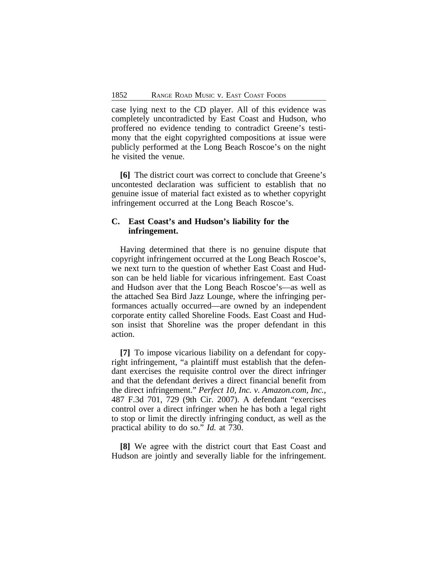case lying next to the CD player. All of this evidence was completely uncontradicted by East Coast and Hudson, who proffered no evidence tending to contradict Greene's testimony that the eight copyrighted compositions at issue were publicly performed at the Long Beach Roscoe's on the night he visited the venue.

**[6]** The district court was correct to conclude that Greene's uncontested declaration was sufficient to establish that no genuine issue of material fact existed as to whether copyright infringement occurred at the Long Beach Roscoe's.

## **C. East Coast's and Hudson's liability for the infringement.**

Having determined that there is no genuine dispute that copyright infringement occurred at the Long Beach Roscoe's, we next turn to the question of whether East Coast and Hudson can be held liable for vicarious infringement. East Coast and Hudson aver that the Long Beach Roscoe's—as well as the attached Sea Bird Jazz Lounge, where the infringing performances actually occurred—are owned by an independent corporate entity called Shoreline Foods. East Coast and Hudson insist that Shoreline was the proper defendant in this action.

**[7]** To impose vicarious liability on a defendant for copyright infringement, "a plaintiff must establish that the defendant exercises the requisite control over the direct infringer and that the defendant derives a direct financial benefit from the direct infringement." *Perfect 10, Inc. v. Amazon.com, Inc.*, 487 F.3d 701, 729 (9th Cir. 2007). A defendant "exercises control over a direct infringer when he has both a legal right to stop or limit the directly infringing conduct, as well as the practical ability to do so." *Id.* at 730.

**[8]** We agree with the district court that East Coast and Hudson are jointly and severally liable for the infringement.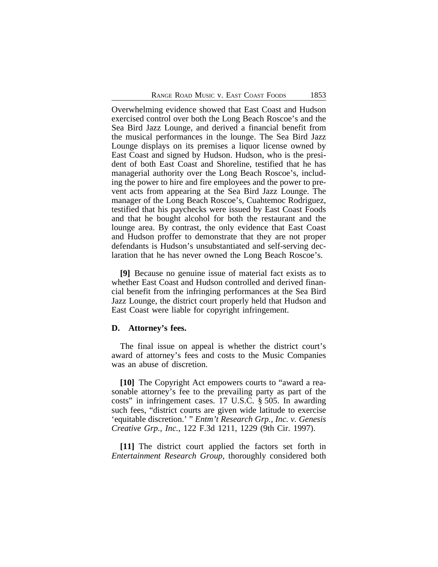Overwhelming evidence showed that East Coast and Hudson exercised control over both the Long Beach Roscoe's and the Sea Bird Jazz Lounge, and derived a financial benefit from the musical performances in the lounge. The Sea Bird Jazz Lounge displays on its premises a liquor license owned by East Coast and signed by Hudson. Hudson, who is the president of both East Coast and Shoreline, testified that he has managerial authority over the Long Beach Roscoe's, including the power to hire and fire employees and the power to prevent acts from appearing at the Sea Bird Jazz Lounge. The manager of the Long Beach Roscoe's, Cuahtemoc Rodriguez, testified that his paychecks were issued by East Coast Foods and that he bought alcohol for both the restaurant and the lounge area. By contrast, the only evidence that East Coast and Hudson proffer to demonstrate that they are not proper defendants is Hudson's unsubstantiated and self-serving declaration that he has never owned the Long Beach Roscoe's.

**[9]** Because no genuine issue of material fact exists as to whether East Coast and Hudson controlled and derived financial benefit from the infringing performances at the Sea Bird Jazz Lounge, the district court properly held that Hudson and East Coast were liable for copyright infringement.

#### **D. Attorney's fees.**

The final issue on appeal is whether the district court's award of attorney's fees and costs to the Music Companies was an abuse of discretion.

**[10]** The Copyright Act empowers courts to "award a reasonable attorney's fee to the prevailing party as part of the costs" in infringement cases. 17 U.S.C. § 505. In awarding such fees, "district courts are given wide latitude to exercise 'equitable discretion.' " *Entm't Research Grp., Inc. v. Genesis Creative Grp., Inc.*, 122 F.3d 1211, 1229 (9th Cir. 1997).

**[11]** The district court applied the factors set forth in *Entertainment Research Group*, thoroughly considered both